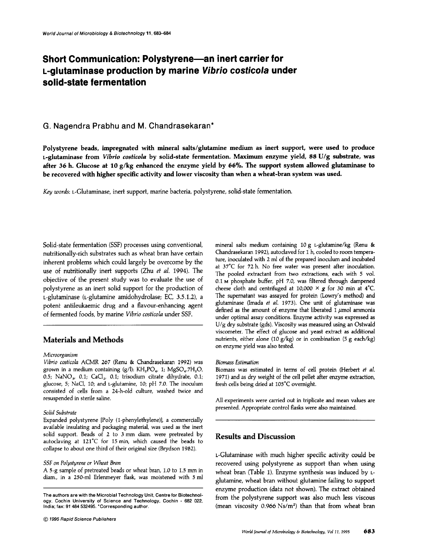# **Short Communication: Polystyrene-an inert carrier for L·glutaminase production by marine Vibrio costico/a under** selld-state **fermentation**

## G. Nagendra Prabhu and M. Chandrasekaran\*

Polystyrene beads, impregnated with mineral salts/glutamine medium as inert support, were used to produce L-glutaminase from *Vibrio costicola* by solid-state fermentation. Maximum enzyme yield, 88 U/g substrate, was after 36 h. Glucose at 10  $g/kg$  enhanced the enzyme yield by 66%. The support system allowed glutaminase to be recovered with higher specific activity and lower viscosity than when a wheat-bran system was used.

Key *words:* L-Glutaminase, inert support, marine bacteria, polystyrene, solid-state fennentation.

Solid-state fermentation (SSF) processes using conventional, nutritionally-rich substrates such as wheat bran have certain inherent problems which could largely be overcome by the use of nutritionally inert supports (Zhu *et al.* 1994). The objective of the present study was to evaluate the use of polystyrene as an inert solid support for the production of L-glutaminase (i-glutamine amidohydrolase; EC, 3.5.1.2), a potent antileukaemic drug and a flavour-enhancing agent of fermented foods, by marine *Vibrio costicola* under SSF.

# Materials and Methods

### *Microorganism*

*Vibrio cosiicola* ACMR 267 (Renu & Chandrasekaran 1992) was grown in a medium containing  $(g/l)$ : KH<sub>2</sub>PO<sub>4</sub>, 1; MgSO<sub>4</sub>.7H<sub>2</sub>O, 0.5; NaNO<sub>3</sub>, 0.1; CaCl<sub>2</sub>, 0.1; trisodium citrate dihydrate, 0.1; glucose, 5; NaCl, 10; and L-glutamine, 10; pH 7.0. The inoculum consisted of cells from a 24-h-old culture, washed twice and resuspended in sterile saline.

#### *Solid Substrate*

Expanded polystyrene [Poly (l-phenylethylene)], a commercially available insulating and packaging material, was used as the inert solid support, Beads of 2 to 3 mm diam. were pretreated by autoclaving at 121°C for 15 min, which caused the beads to collapse to about one third of their original size (Brydson 1982).

#### *SSF* on Polystyrene or Wheat Bran

A 5-g sample of pretreated beads or wheat bran, 1.0 to 1.5 mm in diam., in a 250-ml Erlenmeyer flask, was moistened with 5 ml

The authors are with the Microbial Technology Unit, Centre for Biotechnology, Cochin University of Science and Technology, Cochin - 682 022, India; fax: 91 484 532495. 'Corresponding author.

mineral salts medium containing 10 g t-glutamine/kg (Renu & Chandrasekaran 1992), autoclaved for 1 h, cooled to room temperature, inoculated with 2 ml of the prepared inoculum and incubated at 37°C for 72 h. No free water was present after inoculation. The pooled extractant from two extractions, each with 5 vol. 0.1 <sup>M</sup> phosphate buffer, pH 7.0, was filtered through dampened cheese cloth and centrifuged at 10,000  $\times$  g for 30 min at 4°C. The supernatant was assayed for protein (Lowry's method) and glutaminase (Imada *et al.* 1973). One unit of glutaminase was defined as the amount of enzyme that liberated  $1 \mu$ mol ammonia under optimal assay conditions. Enzyme activity was expressed as U/g dry substrate (gds). Viscosity was measured using an Ostwald viscometer. The effect of glucose and yeast extract as additional nutrients, either alone (10 g/kg) or in combination (5 g each/kg) on enzyme yield was also tested.

#### *Biomass Estimation*

Biomass was estimated in terms of cell protein (Herbert *et al.* 1971) and as dry weight of the cell pellet after enzyme extraction, fresh cells being dried at 105°C overnight.

All experiments were carried out in triplicate and mean values are presented. Appropriate control flasks were also maintained.

# Results and Discussion

L-Glutaminase with much higher specific activity could be recovered using polystyrene as support than when using wheat bran (Table 1). Enzyme synthesis was induced by Lglutamine, wheat bran without glutamine failing to support enzyme production (data not shown). The extract obtained from the polystyrene support was also much less viscous (mean viscosity  $0.966$  Ns/m<sup>2</sup>) than that from wheat bran